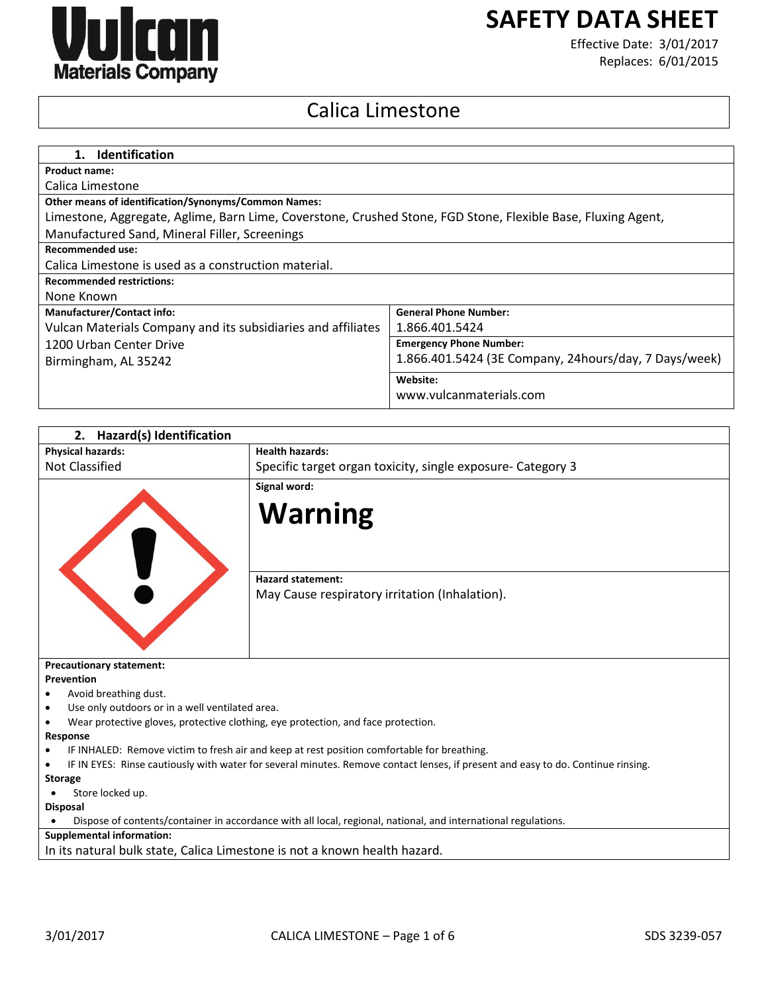

# **SAFETY DATA SHEET**

Effective Date: 3/01/2017 Replaces: 6/01/2015

# Calica Limestone

| 1. Identification                                                                                            |                                                       |  |  |
|--------------------------------------------------------------------------------------------------------------|-------------------------------------------------------|--|--|
| <b>Product name:</b>                                                                                         |                                                       |  |  |
| Calica Limestone                                                                                             |                                                       |  |  |
| <b>Other means of identification/Synonyms/Common Names:</b>                                                  |                                                       |  |  |
| Limestone, Aggregate, Aglime, Barn Lime, Coverstone, Crushed Stone, FGD Stone, Flexible Base, Fluxing Agent, |                                                       |  |  |
| Manufactured Sand, Mineral Filler, Screenings                                                                |                                                       |  |  |
| Recommended use:                                                                                             |                                                       |  |  |
| Calica Limestone is used as a construction material.                                                         |                                                       |  |  |
| <b>Recommended restrictions:</b>                                                                             |                                                       |  |  |
| None Known                                                                                                   |                                                       |  |  |
| <b>Manufacturer/Contact info:</b>                                                                            | <b>General Phone Number:</b>                          |  |  |
| Vulcan Materials Company and its subsidiaries and affiliates                                                 | 1.866.401.5424                                        |  |  |
| 1200 Urban Center Drive                                                                                      | <b>Emergency Phone Number:</b>                        |  |  |
| Birmingham, AL 35242                                                                                         | 1.866.401.5424 (3E Company, 24hours/day, 7 Days/week) |  |  |
|                                                                                                              | Website:                                              |  |  |
|                                                                                                              | www.vulcanmaterials.com                               |  |  |

| 2.<br>Hazard(s) Identification                                                                                                   |                                                                                   |  |
|----------------------------------------------------------------------------------------------------------------------------------|-----------------------------------------------------------------------------------|--|
| <b>Physical hazards:</b>                                                                                                         | <b>Health hazards:</b>                                                            |  |
| Not Classified                                                                                                                   | Specific target organ toxicity, single exposure- Category 3                       |  |
|                                                                                                                                  | Signal word:                                                                      |  |
|                                                                                                                                  |                                                                                   |  |
|                                                                                                                                  | <b>Warning</b>                                                                    |  |
|                                                                                                                                  |                                                                                   |  |
|                                                                                                                                  |                                                                                   |  |
|                                                                                                                                  | <b>Hazard statement:</b>                                                          |  |
|                                                                                                                                  |                                                                                   |  |
|                                                                                                                                  | May Cause respiratory irritation (Inhalation).                                    |  |
|                                                                                                                                  |                                                                                   |  |
|                                                                                                                                  |                                                                                   |  |
|                                                                                                                                  |                                                                                   |  |
| <b>Precautionary statement:</b>                                                                                                  |                                                                                   |  |
| <b>Prevention</b>                                                                                                                |                                                                                   |  |
| Avoid breathing dust.                                                                                                            |                                                                                   |  |
| Use only outdoors or in a well ventilated area.                                                                                  |                                                                                   |  |
|                                                                                                                                  | Wear protective gloves, protective clothing, eye protection, and face protection. |  |
| Response                                                                                                                         |                                                                                   |  |
| IF INHALED: Remove victim to fresh air and keep at rest position comfortable for breathing.                                      |                                                                                   |  |
| IF IN EYES: Rinse cautiously with water for several minutes. Remove contact lenses, if present and easy to do. Continue rinsing. |                                                                                   |  |
| <b>Storage</b>                                                                                                                   |                                                                                   |  |
| Store locked up.                                                                                                                 |                                                                                   |  |
| <b>Disposal</b>                                                                                                                  |                                                                                   |  |
| Dispose of contents/container in accordance with all local, regional, national, and international regulations.                   |                                                                                   |  |
| <b>Supplemental information:</b>                                                                                                 |                                                                                   |  |
| In its natural bulk state, Calica Limestone is not a known health hazard.                                                        |                                                                                   |  |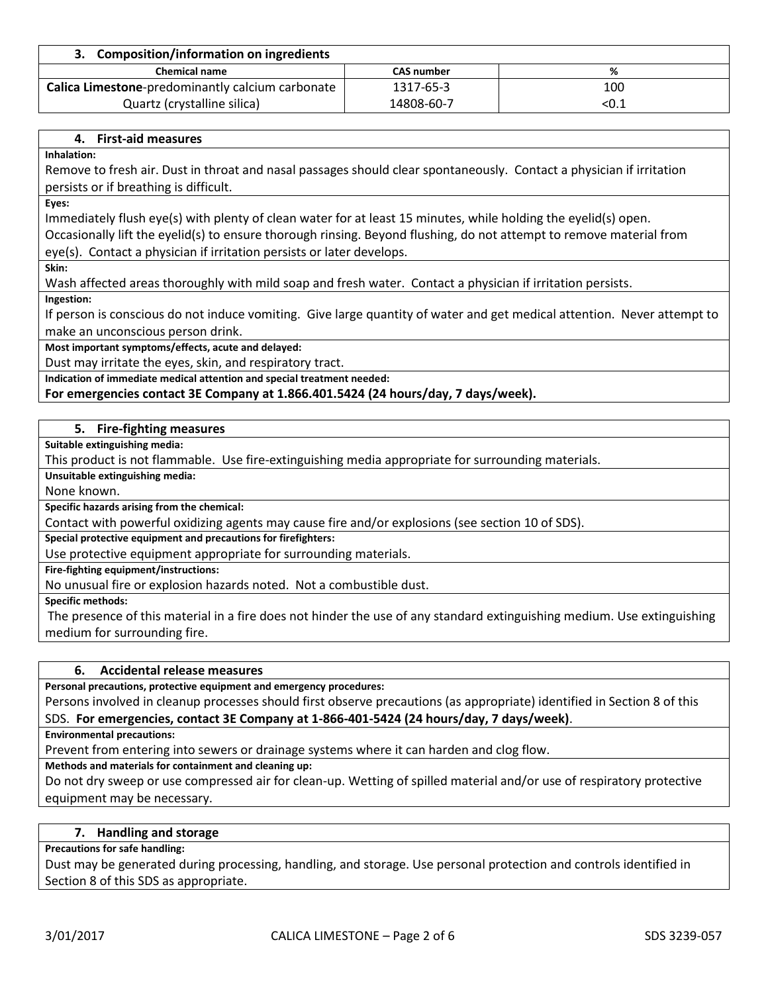| 3. Composition/information on ingredients        |                   |       |  |
|--------------------------------------------------|-------------------|-------|--|
| <b>Chemical name</b>                             | <b>CAS number</b> | %     |  |
| Calica Limestone-predominantly calcium carbonate | 1317-65-3         | 100   |  |
| Quartz (crystalline silica)                      | 14808-60-7        | < 0.1 |  |

## **4. First-aid measures**

**Inhalation:**

Remove to fresh air. Dust in throat and nasal passages should clear spontaneously. Contact a physician if irritation persists or if breathing is difficult.

**Eyes:**

Immediately flush eye(s) with plenty of clean water for at least 15 minutes, while holding the eyelid(s) open. Occasionally lift the eyelid(s) to ensure thorough rinsing. Beyond flushing, do not attempt to remove material from eye(s). Contact a physician if irritation persists or later develops.

**Skin:**

Wash affected areas thoroughly with mild soap and fresh water. Contact a physician if irritation persists.

**Ingestion:**

If person is conscious do not induce vomiting. Give large quantity of water and get medical attention. Never attempt to make an unconscious person drink.

**Most important symptoms/effects, acute and delayed:**

Dust may irritate the eyes, skin, and respiratory tract.

**Indication of immediate medical attention and special treatment needed:**

**For emergencies contact 3E Company at 1.866.401.5424 (24 hours/day, 7 days/week).**

# **5. Fire-fighting measures**

**Suitable extinguishing media:**

This product is not flammable. Use fire-extinguishing media appropriate for surrounding materials.

**Unsuitable extinguishing media:**

None known.

**Specific hazards arising from the chemical:**

Contact with powerful oxidizing agents may cause fire and/or explosions (see section 10 of SDS).

**Special protective equipment and precautions for firefighters:**

Use protective equipment appropriate for surrounding materials.

**Fire-fighting equipment/instructions:**

No unusual fire or explosion hazards noted. Not a combustible dust.

**Specific methods:**

The presence of this material in a fire does not hinder the use of any standard extinguishing medium. Use extinguishing medium for surrounding fire.

#### **6. Accidental release measures**

**Personal precautions, protective equipment and emergency procedures:**

Persons involved in cleanup processes should first observe precautions (as appropriate) identified in Section 8 of this SDS. **For emergencies, contact 3E Company at 1-866-401-5424 (24 hours/day, 7 days/week)**.

**Environmental precautions:**

Prevent from entering into sewers or drainage systems where it can harden and clog flow.

**Methods and materials for containment and cleaning up:**

Do not dry sweep or use compressed air for clean-up. Wetting of spilled material and/or use of respiratory protective equipment may be necessary.

## **7. Handling and storage**

#### **Precautions for safe handling:**

Dust may be generated during processing, handling, and storage. Use personal protection and controls identified in Section 8 of this SDS as appropriate.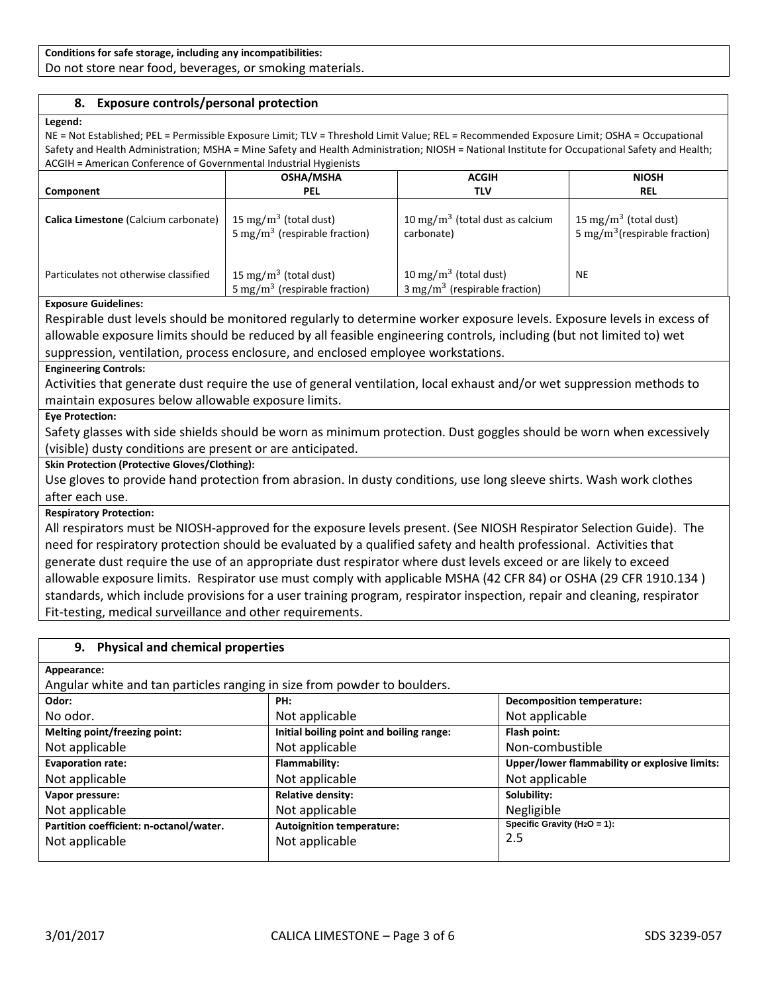## **Conditions for safe storage, including any incompatibilities:**

Do not store near food, beverages, or smoking materials.

# **8. Exposure controls/personal protection**

#### **Legend:**

NE = Not Established; PEL = Permissible Exposure Limit; TLV = Threshold Limit Value; REL = Recommended Exposure Limit; OSHA = Occupational Safety and Health Administration; MSHA = Mine Safety and Health Administration; NIOSH = National Institute for Occupational Safety and Health; ACGIH = American Conference of Governmental Industrial Hygienists

|                                       | <b>OSHA/MSHA</b>                                                               | <b>ACGIH</b>                                                                  | <b>NIOSH</b>                                                                   |  |
|---------------------------------------|--------------------------------------------------------------------------------|-------------------------------------------------------------------------------|--------------------------------------------------------------------------------|--|
| <b>Component</b>                      | <b>PEL</b>                                                                     | TLV                                                                           | <b>REL</b>                                                                     |  |
| Calica Limestone (Calcium carbonate)  | 15 mg/m <sup>3</sup> (total dust)<br>5 mg/m <sup>3</sup> (respirable fraction) | 10 mg/m <sup>3</sup> (total dust as calcium<br>carbonate)                     | 15 mg/m <sup>3</sup> (total dust)<br>5 mg/m <sup>3</sup> (respirable fraction) |  |
| Particulates not otherwise classified | 15 mg/m <sup>3</sup> (total dust)<br>5 mg/m <sup>3</sup> (respirable fraction) | 10 mg/m <sup>3</sup> (total dust)<br>$3 \text{ mg/m}^3$ (respirable fraction) | NE                                                                             |  |

#### **Exposure Guidelines:**

Respirable dust levels should be monitored regularly to determine worker exposure levels. Exposure levels in excess of allowable exposure limits should be reduced by all feasible engineering controls, including (but not limited to) wet suppression, ventilation, process enclosure, and enclosed employee workstations.

# **Engineering Controls:**

Activities that generate dust require the use of general ventilation, local exhaust and/or wet suppression methods to maintain exposures below allowable exposure limits.

#### **Eye Protection:**

Safety glasses with side shields should be worn as minimum protection. Dust goggles should be worn when excessively (visible) dusty conditions are present or are anticipated.

#### **Skin Protection (Protective Gloves/Clothing):**

Use gloves to provide hand protection from abrasion. In dusty conditions, use long sleeve shirts. Wash work clothes after each use.

#### **Respiratory Protection:**

All respirators must be NIOSH-approved for the exposure levels present. (See NIOSH Respirator Selection Guide). The need for respiratory protection should be evaluated by a qualified safety and health professional. Activities that generate dust require the use of an appropriate dust respirator where dust levels exceed or are likely to exceed allowable exposure limits. Respirator use must comply with applicable MSHA (42 CFR 84) or OSHA (29 CFR 1910.134 ) standards, which include provisions for a user training program, respirator inspection, repair and cleaning, respirator Fit-testing, medical surveillance and other requirements.

#### **9. Physical and chemical properties**

**Appearance:**

Angular white and tan particles ranging in size from powder to boulders.

| Odor:                                   | PH:                                      | <b>Decomposition temperature:</b>             |  |
|-----------------------------------------|------------------------------------------|-----------------------------------------------|--|
| No odor.                                | Not applicable                           | Not applicable                                |  |
| Melting point/freezing point:           | Initial boiling point and boiling range: | Flash point:                                  |  |
| Not applicable                          | Not applicable                           | Non-combustible                               |  |
| <b>Evaporation rate:</b>                | Flammability:                            | Upper/lower flammability or explosive limits: |  |
| Not applicable                          | Not applicable                           | Not applicable                                |  |
| Vapor pressure:                         | <b>Relative density:</b>                 | Solubility:                                   |  |
| Not applicable                          | Not applicable                           | Negligible                                    |  |
| Partition coefficient: n-octanol/water. | <b>Autoignition temperature:</b>         | Specific Gravity ( $H_2O = 1$ ):              |  |
| Not applicable                          | Not applicable                           | 2.5                                           |  |
|                                         |                                          |                                               |  |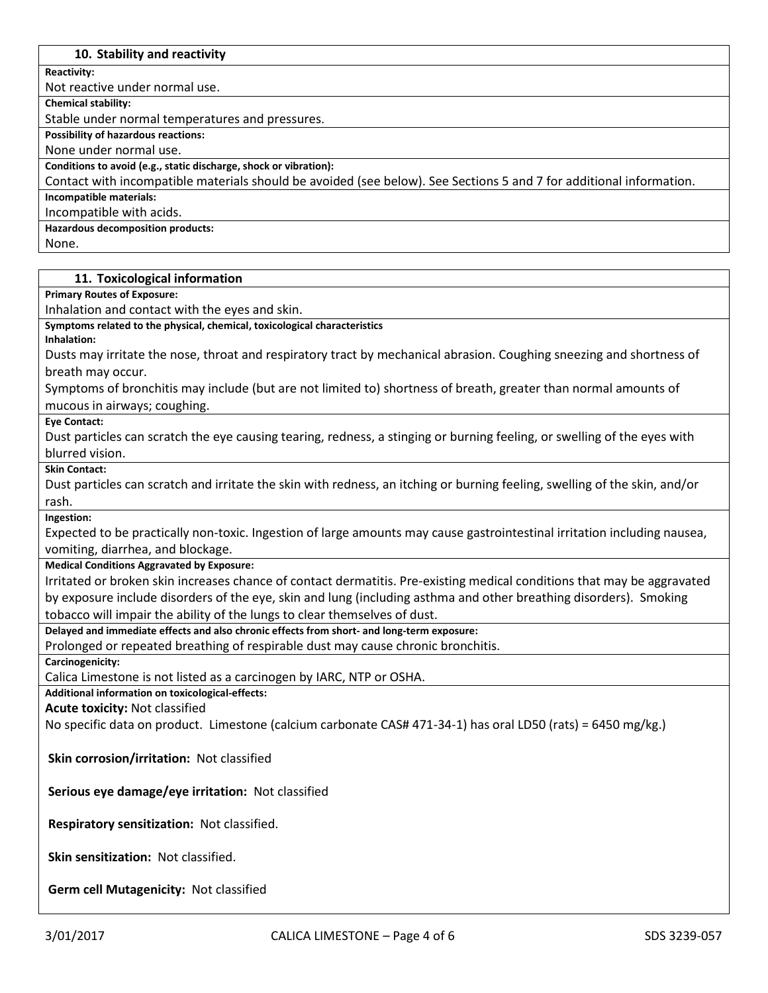# **10. Stability and reactivity**

**Reactivity:**

Not reactive under normal use.

**Chemical stability:**

Stable under normal temperatures and pressures.

**Possibility of hazardous reactions:**

None under normal use.

**Conditions to avoid (e.g., static discharge, shock or vibration):**

Contact with incompatible materials should be avoided (see below). See Sections 5 and 7 for additional information.

**Incompatible materials:**

Incompatible with acids.

**Hazardous decomposition products:**

None.

#### **11. Toxicological information**

**Primary Routes of Exposure:**

Inhalation and contact with the eyes and skin.

**Symptoms related to the physical, chemical, toxicological characteristics**

**Inhalation:**

Dusts may irritate the nose, throat and respiratory tract by mechanical abrasion. Coughing sneezing and shortness of breath may occur.

Symptoms of bronchitis may include (but are not limited to) shortness of breath, greater than normal amounts of mucous in airways; coughing.

**Eye Contact:**

Dust particles can scratch the eye causing tearing, redness, a stinging or burning feeling, or swelling of the eyes with blurred vision.

**Skin Contact:**

Dust particles can scratch and irritate the skin with redness, an itching or burning feeling, swelling of the skin, and/or rash.

**Ingestion:**

Expected to be practically non-toxic. Ingestion of large amounts may cause gastrointestinal irritation including nausea, vomiting, diarrhea, and blockage.

**Medical Conditions Aggravated by Exposure:**

Irritated or broken skin increases chance of contact dermatitis. Pre-existing medical conditions that may be aggravated by exposure include disorders of the eye, skin and lung (including asthma and other breathing disorders). Smoking tobacco will impair the ability of the lungs to clear themselves of dust.

**Delayed and immediate effects and also chronic effects from short- and long-term exposure:**

Prolonged or repeated breathing of respirable dust may cause chronic bronchitis.

**Carcinogenicity:**

Calica Limestone is not listed as a carcinogen by IARC, NTP or OSHA.

**Additional information on toxicological-effects:**

**Acute toxicity:** Not classified

No specific data on product. Limestone (calcium carbonate CAS# 471-34-1) has oral LD50 (rats) = 6450 mg/kg.)

**Skin corrosion/irritation:** Not classified

**Serious eye damage/eye irritation:** Not classified

**Respiratory sensitization:** Not classified.

**Skin sensitization:** Not classified.

**Germ cell Mutagenicity:** Not classified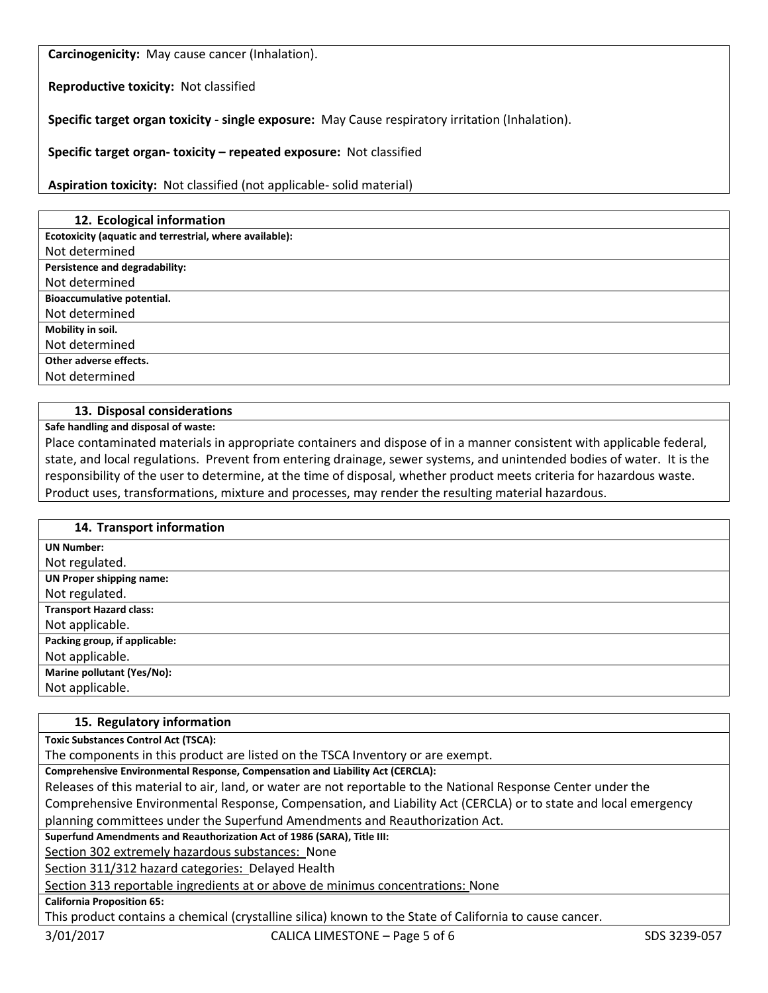**Carcinogenicity:** May cause cancer (Inhalation).

**Reproductive toxicity:** Not classified

**Specific target organ toxicity - single exposure:** May Cause respiratory irritation (Inhalation).

**Specific target organ- toxicity – repeated exposure:** Not classified

**Aspiration toxicity:** Not classified (not applicable- solid material)

| 12. Ecological information                              |
|---------------------------------------------------------|
| Ecotoxicity (aquatic and terrestrial, where available): |
| Not determined                                          |
| Persistence and degradability:                          |
| Not determined                                          |
| Bioaccumulative potential.                              |
| Not determined                                          |
| Mobility in soil.                                       |
| Not determined                                          |
| Other adverse effects.                                  |
| Not determined                                          |

# **13. Disposal considerations**

**Safe handling and disposal of waste:**

Place contaminated materials in appropriate containers and dispose of in a manner consistent with applicable federal, state, and local regulations. Prevent from entering drainage, sewer systems, and unintended bodies of water. It is the responsibility of the user to determine, at the time of disposal, whether product meets criteria for hazardous waste. Product uses, transformations, mixture and processes, may render the resulting material hazardous.

| 14. Transport information       |
|---------------------------------|
| <b>UN Number:</b>               |
| Not regulated.                  |
| <b>UN Proper shipping name:</b> |
| Not regulated.                  |
| <b>Transport Hazard class:</b>  |
| Not applicable.                 |
| Packing group, if applicable:   |
| Not applicable.                 |
| Marine pollutant (Yes/No):      |
| Not applicable.                 |

#### **15. Regulatory information**

**Toxic Substances Control Act (TSCA):**

The components in this product are listed on the TSCA Inventory or are exempt.

**Comprehensive Environmental Response, Compensation and Liability Act (CERCLA):**

Releases of this material to air, land, or water are not reportable to the National Response Center under the Comprehensive Environmental Response, Compensation, and Liability Act (CERCLA) or to state and local emergency planning committees under the Superfund Amendments and Reauthorization Act.

**Superfund Amendments and Reauthorization Act of 1986 (SARA), Title III:**

Section 302 extremely hazardous substances: None

Section 311/312 hazard categories: Delayed Health

Section 313 reportable ingredients at or above de minimus concentrations: None

**California Proposition 65:**

This product contains a chemical (crystalline silica) known to the State of California to cause cancer.